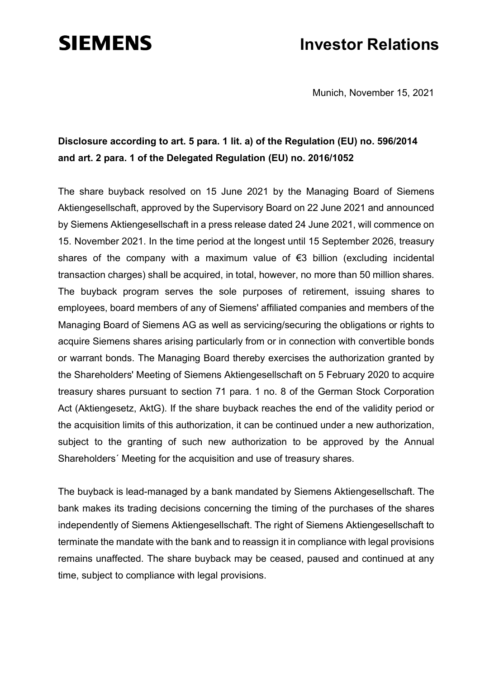## **SIEMENS**

## **Investor Relations**

Munich, November 15, 2021

## **Disclosure according to art. 5 para. 1 lit. a) of the Regulation (EU) no. 596/2014 and art. 2 para. 1 of the Delegated Regulation (EU) no. 2016/1052**

The share buyback resolved on 15 June 2021 by the Managing Board of Siemens Aktiengesellschaft, approved by the Supervisory Board on 22 June 2021 and announced by Siemens Aktiengesellschaft in a press release dated 24 June 2021, will commence on 15. November 2021. In the time period at the longest until 15 September 2026, treasury shares of the company with a maximum value of €3 billion (excluding incidental transaction charges) shall be acquired, in total, however, no more than 50 million shares. The buyback program serves the sole purposes of retirement, issuing shares to employees, board members of any of Siemens' affiliated companies and members of the Managing Board of Siemens AG as well as servicing/securing the obligations or rights to acquire Siemens shares arising particularly from or in connection with convertible bonds or warrant bonds. The Managing Board thereby exercises the authorization granted by the Shareholders' Meeting of Siemens Aktiengesellschaft on 5 February 2020 to acquire treasury shares pursuant to section 71 para. 1 no. 8 of the German Stock Corporation Act (Aktiengesetz, AktG). If the share buyback reaches the end of the validity period or the acquisition limits of this authorization, it can be continued under a new authorization, subject to the granting of such new authorization to be approved by the Annual Shareholders´ Meeting for the acquisition and use of treasury shares.

The buyback is lead-managed by a bank mandated by Siemens Aktiengesellschaft. The bank makes its trading decisions concerning the timing of the purchases of the shares independently of Siemens Aktiengesellschaft. The right of Siemens Aktiengesellschaft to terminate the mandate with the bank and to reassign it in compliance with legal provisions remains unaffected. The share buyback may be ceased, paused and continued at any time, subject to compliance with legal provisions.